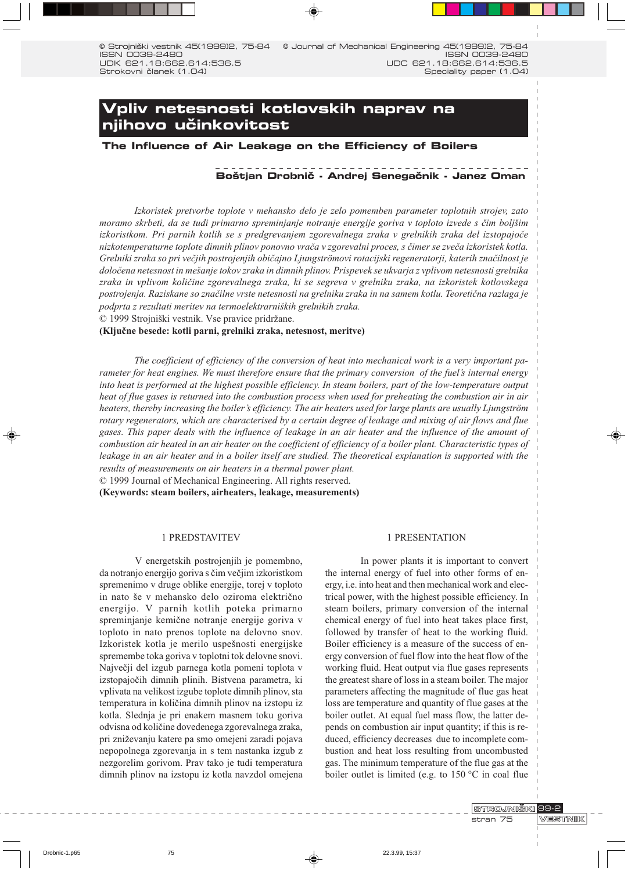© Strojniški vestnik 45(1999)2, 75-84 © Journal of Mechanical Engineering 45(1999)2, ISSN 0039-2480 ISSN 0039-2480 UDK 621.18:662.614:536.5 UDC 621.18:662.614:536.5 Speciality paper (1.04) Strokovni članek (1.04)

# Vpliv netesnosti kotlovskih naprav na njihovo učinkovitost

The Influence of Air Leakage on the Efficiency of Boilers

# Boštjan Drobnič - Andrej Senegačnik - Janez Oman

Izkoristek pretvorbe toplote v mehansko delo je zelo pomemben parameter toplotnih strojev, zato moramo skrbeti, da se tudi primarno spreminjanje notranje energije goriva v toploto izvede s čim boljšim izkoristkom. Pri parnih kotlih se s predgrevanjem zgorevalnega zraka v grelnikih zraka del izstopajoče nizkotemperaturne toplote dimnih plinov ponovno vrača v zgorevalni proces, s čimer se zveča izkoristek kotla. Grelniki zraka so pri večjih postrojenjih običajno Ljungströmovi rotacijski regeneratorji, katerih značilnost je določena netesnost in mešanje tokov zraka in dimnih plinov. Prispevek se ukvarja z vplivom netesnosti grelnika zraka in vplivom količine zgorevalnega zraka, ki se segreva v grelniku zraka, na izkoristek kotlovskega postrojenja. Raziskane so značilne vrste netesnosti na grelniku zraka in na samem kotlu. Teoretična razlaga je podprta z rezultati meritev na termoelektrarniških grelnikih zraka.

© 1999 Strojniški vestnik. Vse pravice pridržane.

# (Ključne besede: kotli parni, grelniki zraka, netesnost, meritve)

The coefficient of efficiency of the conversion of heat into mechanical work is a very important parameter for heat engines. We must therefore ensure that the primary conversion of the fuel's internal energy into heat is performed at the highest possible efficiency. In steam boilers, part of the low-temperature output heat of flue gases is returned into the combustion process when used for preheating the combustion air in air heaters, thereby increasing the boiler's efficiency. The air heaters used for large plants are usually Ljungström rotary regenerators, which are characterised by a certain degree of leakage and mixing of air flows and flue gases. This paper deals with the influence of leakage in an air heater and the influence of the amount of combustion air heated in an air heater on the coefficient of efficiency of a boiler plant. Characteristic types of leakage in an air heater and in a boiler itself are studied. The theoretical explanation is supported with the results of measurements on air heaters in a thermal power plant.

© 1999 Journal of Mechanical Engineering. All rights reserved.

(Keywords: steam boilers, airheaters, leakage, measurements)

#### 1 PREDSTAVITEV

V energetskih postrojenjih je pomembno, da notranjo energijo goriva s čim večjim izkoristkom spremenimo v druge oblike energije, torej v toploto in nato še v mehansko delo oziroma električno energijo. V parnih kotlih poteka primarno spreminjanje kemične notranje energije goriva v toploto in nato prenos toplote na delovno snov. Izkoristek kotla je merilo uspešnosti energijske spremembe toka goriva v toplotni tok delovne snovi. Največji del izgub parnega kotla pomeni toplota v izstopajočih dimnih plinih. Bistvena parametra, ki vplivata na velikost izgube toplote dimnih plinov, sta temperatura in količina dimnih plinov na izstopu iz kotla. Slednja je pri enakem masnem toku goriva odvisna od količine dovedenega zgorevalnega zraka, pri zniževanju katere pa smo omejeni zaradi pojava nepopolnega zgorevanja in s tem nastanka izgub z nezgorelim gorivom. Prav tako je tudi temperatura dimnih plinov na izstopu iz kotla navzdol omejena

#### 1 PRESENTATION

In power plants it is important to convert the internal energy of fuel into other forms of energy, i.e. into heat and then mechanical work and electrical power, with the highest possible efficiency. In steam boilers, primary conversion of the internal chemical energy of fuel into heat takes place first, followed by transfer of heat to the working fluid. Boiler efficiency is a measure of the success of energy conversion of fuel flow into the heat flow of the working fluid. Heat output via flue gases represents the greatest share of loss in a steam boiler. The major parameters affecting the magnitude of flue gas heat loss are temperature and quantity of flue gases at the boiler outlet. At equal fuel mass flow, the latter depends on combustion air input quantity; if this is reduced, efficiency decreases due to incomplete combustion and heat loss resulting from uncombusted gas. The minimum temperature of the flue gas at the boiler outlet is limited (e.g. to  $150^{\circ}$ C in coal flue

> STROJNIŠKI 99-2 stran 75

75-84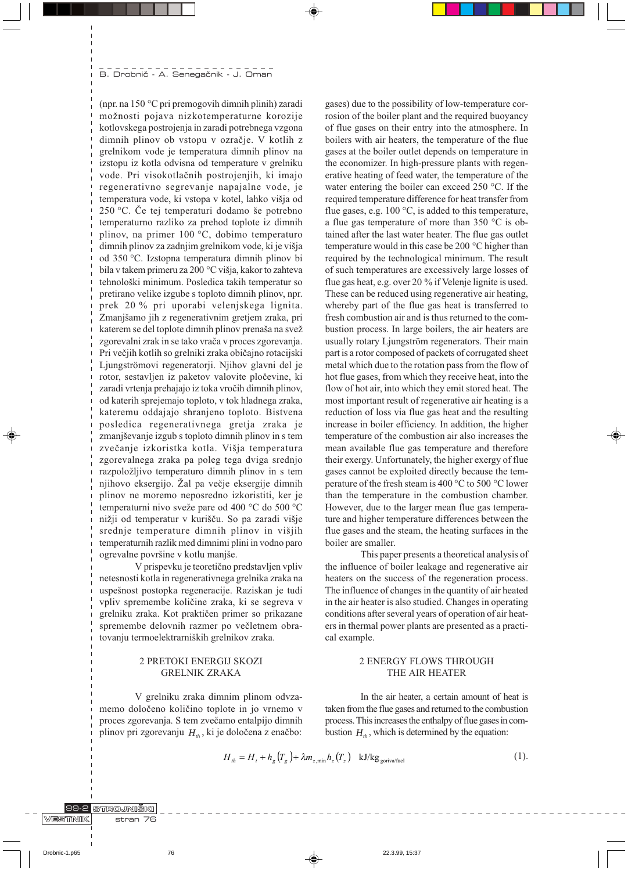(npr. na  $150^{\circ}$ C pri premogovih dimnih plinih) zaradi možnosti pojava nizkotemperaturne korozije kotlovskega postrojenja in zaradi potrebnega vzgona dimnih plinov ob vstopu v ozračje. V kotlih z grelnikom vode je temperatura dimnih plinov na izstopu iz kotla odvisna od temperature v grelniku vode. Pri visokotlačnih postrojenjih, ki imajo regenerativno segrevanje napajalne vode, je temperatura vode, ki vstopa v kotel, lahko višja od  $250$  °C. Če tej temperaturi dodamo še potrebno temperaturno razliko za prehod toplote iz dimnih plinov, na primer 100 °C, dobimo temperaturo dimnih plinov za zadnjim grelnikom vode, ki je višja od 350 °C. Izstopna temperatura dimnih plinov bi bila v takem primeru za 200 °C višja, kakor to zahteva tehnološki minimum. Posledica takih temperatur so pretirano velike izgube s toploto dimnih plinov, npr. prek 20 % pri uporabi velenjskega lignita. Zmanjšamo jih z regenerativnim gretjem zraka, pri katerem se del toplote dimnih plinov prenaša na svež zgorevalni zrak in se tako vrača v proces zgorevanja. Pri večjih kotlih so grelniki zraka običajno rotacijski Ljungströmovi regeneratorji. Njihov glavni del je rotor, sestavljen iz paketov valovite pločevine, ki zaradi vrtenja prehajajo iz toka vročih dimnih plinov, od katerih sprejemajo toploto, v tok hladnega zraka, kateremu oddajajo shranjeno toploto. Bistvena posledica regenerativnega gretja zraka je zmanjševanje izgub s toploto dimnih plinov in s tem zvečanje izkoristka kotla. Višja temperatura zgorevalnega zraka pa poleg tega dviga srednjo razpoložljivo temperaturo dimnih plinov in s tem njihovo eksergijo. Žal pa večje eksergije dimnih plinov ne moremo neposredno izkoristiti, ker je temperaturni nivo sveže pare od 400 °C do 500 °C nižji od temperatur v kurišču. So pa zaradi višje srednje temperature dimnih plinov in višjih temperaturnih razlik med dimnimi plini in vodno paro ogrevalne površine v kotlu manjše.

V prispevku je teoretično predstavljen vpliv netesnosti kotla in regenerativnega grelnika zraka na uspešnost postopka regeneracije. Raziskan je tudi vpliv spremembe količine zraka, ki se segreva v grelniku zraka. Kot praktičen primer so prikazane spremembe delovnih razmer po večletnem obratovanju termoelektrarniških grelnikov zraka.

# 2 PRETOKI ENERGIJ SKOZI **GRELNIK ZRAKA**

V grelniku zraka dimnim plinom odvzamemo določeno količino toplote in jo vrnemo v proces zgorevanja. S tem zvečamo entalpijo dimnih plinov pri zgorevanju  $H_{th}$ , ki je določena z enačbo:

gases) due to the possibility of low-temperature corrosion of the boiler plant and the required buoyancy of flue gases on their entry into the atmosphere. In boilers with air heaters, the temperature of the flue gases at the boiler outlet depends on temperature in the economizer. In high-pressure plants with regenerative heating of feed water, the temperature of the water entering the boiler can exceed 250 °C. If the required temperature difference for heat transfer from flue gases, e.g. 100 °C, is added to this temperature, a flue gas temperature of more than  $350 \degree C$  is obtained after the last water heater. The flue gas outlet temperature would in this case be 200 °C higher than required by the technological minimum. The result of such temperatures are excessively large losses of flue gas heat, e.g. over 20 % if Velenje lignite is used. These can be reduced using regenerative air heating. whereby part of the flue gas heat is transferred to fresh combustion air and is thus returned to the combustion process. In large boilers, the air heaters are usually rotary Ljungström regenerators. Their main part is a rotor composed of packets of corrugated sheet metal which due to the rotation pass from the flow of hot flue gases, from which they receive heat, into the flow of hot air, into which they emit stored heat. The most important result of regenerative air heating is a reduction of loss via flue gas heat and the resulting increase in boiler efficiency. In addition, the higher temperature of the combustion air also increases the mean available flue gas temperature and therefore their exergy. Unfortunately, the higher exergy of flue gases cannot be exploited directly because the temperature of the fresh steam is 400 °C to 500 °C lower than the temperature in the combustion chamber. However, due to the larger mean flue gas temperature and higher temperature differences between the flue gases and the steam, the heating surfaces in the boiler are smaller.

This paper presents a theoretical analysis of the influence of boiler leakage and regenerative air heaters on the success of the regeneration process. The influence of changes in the quantity of air heated in the air heater is also studied. Changes in operating conditions after several years of operation of air heaters in thermal power plants are presented as a practical example.

# **2 ENERGY FLOWS THROUGH** THE AIR HEATER

In the air heater, a certain amount of heat is taken from the flue gases and returned to the combustion process. This increases the enthalpy of flue gases in combustion  $H_{th}$ , which is determined by the equation:

$$
H_{th} = H_i + h_g \left( T_g \right) + \lambda m_{g,\text{min}} h_g \left( T_g \right) \quad \text{kJ/kg}_{\text{govivalfield}} \tag{1}.
$$

#### 99-2 STROJNIŠKI VESTNIK **76** stran

Drobnic-1.p65

76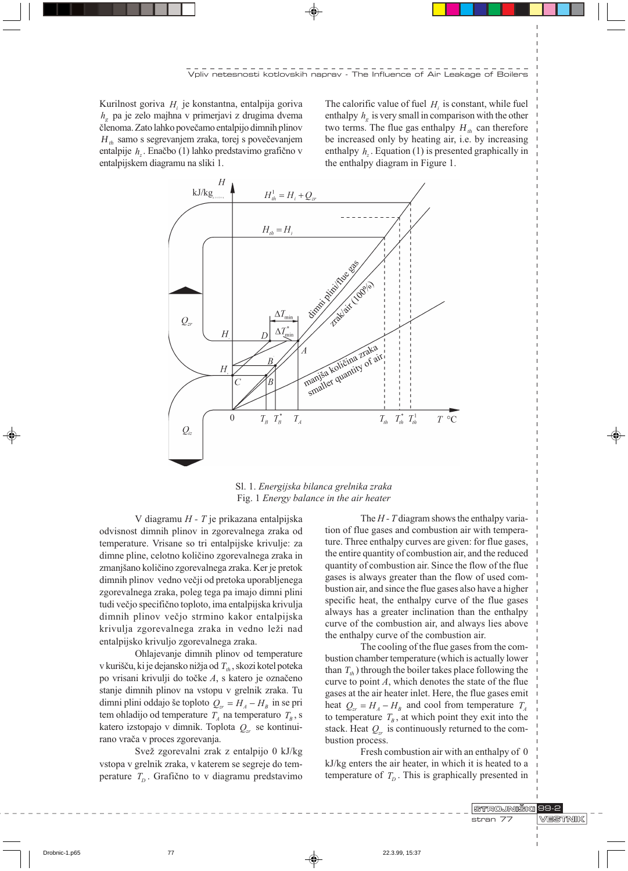Kurilnost goriva  $H_i$  je konstantna, entalpija goriva  $h_{\alpha}$  pa je zelo majhna v primerjavi z drugima dvema členoma. Zato lahko povečamo entalpijo dimnih plinov H., samo s segrevanjem zraka, torej s povečevanjem entalpije  $h_{\gamma}$ . Enačbo (1) lahko predstavimo grafično v entalpijskem diagramu na sliki 1.

The calorific value of fuel  $H_i$  is constant, while fuel enthalpy  $h<sub>e</sub>$  is very small in comparison with the other two terms. The flue gas enthalpy  $H_{th}$  can therefore be increased only by heating air, i.e. by increasing enthalpy  $h_{\text{z}}$ . Equation (1) is presented graphically in the enthalpy diagram in Figure 1.



Sl. 1. Energijska bilanca grelnika zraka Fig. 1 Energy balance in the air heater

V diagramu  $H$  -  $T$  je prikazana entalpijska odvisnost dimnih plinov in zgorevalnega zraka od temperature. Vrisane so tri entalpijske krivulje: za dimne pline, celotno količino zgorevalnega zraka in zmanjšano količino zgorevalnega zraka. Ker je pretok dimnih plinov vedno večji od pretoka uporabljenega zgorevalnega zraka, poleg tega pa imajo dimni plini tudi večjo specifično toploto, ima entalpijska krivulja dimnih plinov večjo strmino kakor entalpijska krivulja zgorevalnega zraka in vedno leži nad entalpijsko krivuljo zgorevalnega zraka.

Ohlajevanje dimnih plinov od temperature v kurišču, ki je dejansko nižja od  $T_{th}$ , skozi kotel poteka po vrisani krivulji do točke A, s katero je označeno stanje dimnih plinov na vstopu v grelnik zraka. Tu dimni plini oddajo še toploto  $Q_{zr} = H_A - H_B$  in se pri tem ohladijo od temperature  $T_A$  na temperaturo  $T_B$ , s katero izstopajo v dimnik. Toplota  $Q_{\tau}$  se kontinuirano vrača v proces zgorevanja.

Svež zgorevalni zrak z entalpijo 0 kJ/kg vstopa v grelnik zraka, v katerem se segreje do temperature  $T_p$ . Grafično to v diagramu predstavimo

The  $H$  -  $T$  diagram shows the enthalpy variation of flue gases and combustion air with temperature. Three enthalpy curves are given: for flue gases, the entire quantity of combustion air, and the reduced quantity of combustion air. Since the flow of the flue gases is always greater than the flow of used combustion air, and since the flue gases also have a higher specific heat, the enthalpy curve of the flue gases always has a greater inclination than the enthalpy curve of the combustion air, and always lies above the enthalpy curve of the combustion air.

The cooling of the flue gases from the combustion chamber temperature (which is actually lower than  $T_{\mu}$ ) through the boiler takes place following the curve to point  $A$ , which denotes the state of the flue gases at the air heater inlet. Here, the flue gases emit heat  $Q_{\rm z} = H_A - H_B$  and cool from temperature  $T_A$ to temperature  $T_B$ , at which point they exit into the stack. Heat  $Q_{\mu}$  is continuously returned to the combustion process.

Fresh combustion air with an enthalpy of 0 kJ/kg enters the air heater, in which it is heated to a temperature of  $T_p$ . This is graphically presented in

STROJNIŠKI 99-2

Drobnic-1.p65

**VESTNIK** stran 77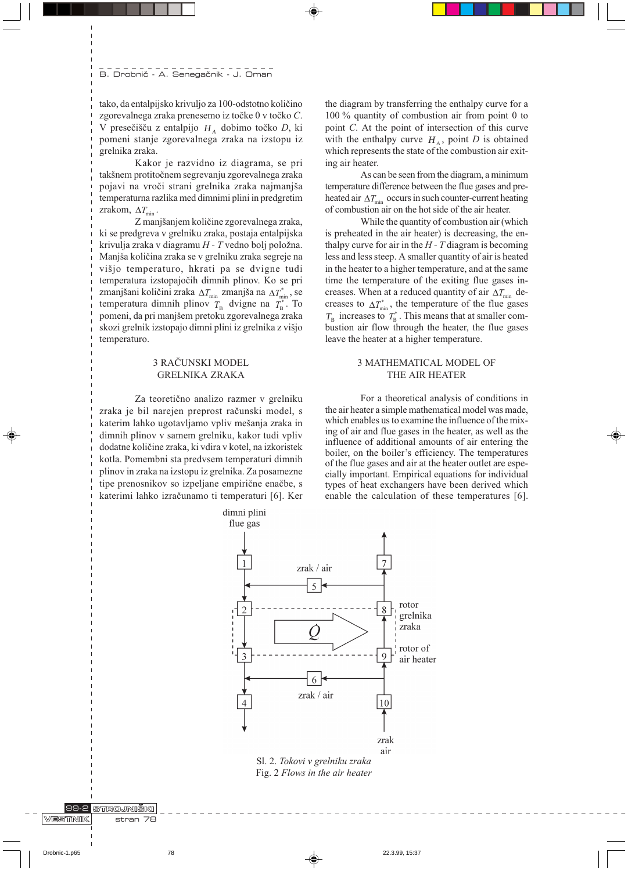tako, da entalpijsko krivuljo za 100-odstotno količino zgorevalnega zraka prenesemo iz točke 0 v točko C. V presečišču z entalpijo  $H_A$  dobimo točko D, ki pomeni stanje zgorevalnega zraka na izstopu iz grelnika zraka.

Kakor je razvidno iz diagrama, se pri takšnem protitočnem segrevanju zgorevalnega zraka pojavi na vroči strani grelnika zraka najmanjša temperaturna razlika med dimnimi plini in predgretim zrakom,  $\Delta T_{\text{min}}$ .

Z manjšanjem količine zgorevalnega zraka, ki se predgreva v grelniku zraka, postaja entalpijska krivulja zraka v diagramu  $H$  -  $T$  vedno bolj položna. Manjša količina zraka se v grelniku zraka segreje na višjo temperaturo, hkrati pa se dvigne tudi temperatura izstopajočih dimnih plinov. Ko se pri zmanjšani količini zraka  $\Delta T_{\text{min}}$  zmanjša na  $\Delta T_{\text{min}}^*$ , se temperatura dimnih plinov  $T_{\rm B}$  dvigne na  $T_{\rm B}^*$ . To pomeni, da pri manjšem pretoku zgorevalnega zraka skozi grelnik izstopajo dimni plini iz grelnika z višjo temperaturo.

# 3 RAČUNSKI MODEL **GRELNIKA ZRAKA**

Za teoretično analizo razmer v grelniku zraka je bil narejen preprost računski model, s katerim lahko ugotavljamo vpliv mešanja zraka in dimnih plinov v samem grelniku, kakor tudi vpliv dodatne količine zraka, ki vdira v kotel, na izkoristek kotla. Pomembni sta predvsem temperaturi dimnih plinov in zraka na izstopu iz grelnika. Za posamezne tipe prenosnikov so izpeljane empirične enačbe, s katerimi lahko izračunamo ti temperaturi [6]. Ker

the diagram by transferring the enthalpy curve for a 100  $\%$  quantity of combustion air from point 0 to point C. At the point of intersection of this curve with the enthalpy curve  $H_A$ , point D is obtained which represents the state of the combustion air exiting air heater.

As can be seen from the diagram, a minimum temperature difference between the flue gases and preheated air  $\Delta T_{\text{min}}$  occurs in such counter-current heating of combustion air on the hot side of the air heater.

While the quantity of combustion air (which is preheated in the air heater) is decreasing, the enthalpy curve for air in the  $H$  -  $T$  diagram is becoming less and less steep. A smaller quantity of air is heated in the heater to a higher temperature, and at the same time the temperature of the exiting flue gases increases. When at a reduced quantity of air  $\Delta T_{\text{min}}$  decreases to  $\Delta T_{\min}^*$ , the temperature of the flue gases  $T_{\rm B}$  increases to  $T_{\rm B}^*$ . This means that at smaller combustion air flow through the heater, the flue gases leave the heater at a higher temperature.

# 3 MATHEMATICAL MODEL OF THE AIR HEATER

For a theoretical analysis of conditions in the air heater a simple mathematical model was made, which enables us to examine the influence of the mixing of air and flue gases in the heater, as well as the influence of additional amounts of air entering the boiler, on the boiler's efficiency. The temperatures of the flue gases and air at the heater outlet are especially important. Empirical equations for individual types of heat exchangers have been derived which enable the calculation of these temperatures [6].



VESTNIK

89-2 STROJNIŠKI

stran 78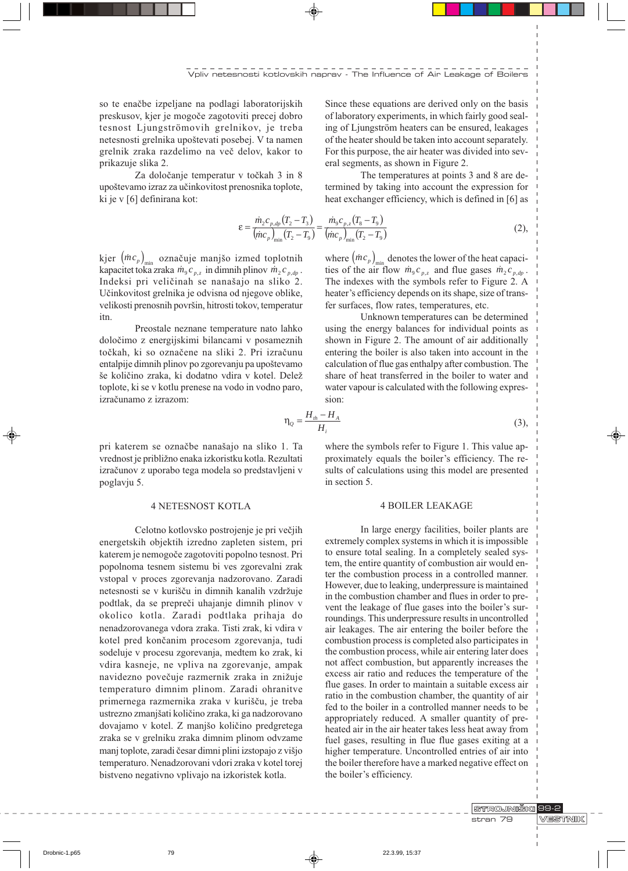so te enačbe izpeljane na podlagi laboratorijskih preskusov, kjer je mogoče zagotoviti precej dobro tesnost Ljungströmovih grelnikov, je treba netesnosti grelnika upoštevati posebej. V ta namen grelnik zraka razdelimo na več delov, kakor to prikazuje slika 2.

Za določanje temperatur v točkah 3 in 8 upoštevamo izraz za učinkovitost prenosnika toplote, ki je v [6] definirana kot:

 $\epsilon$ :

Since these equations are derived only on the basis of laboratory experiments, in which fairly good sealing of Ljungström heaters can be ensured, leakages of the heater should be taken into account separately. For this purpose, the air heater was divided into several segments, as shown in Figure 2.

The temperatures at points 3 and 8 are determined by taking into account the expression for heat exchanger efficiency, which is defined in [6] as

$$
= \frac{\dot{m}_2 c_{p,dp} (T_2 - T_3)}{(\dot{m}c_p)_{\min} (T_2 - T_9)} = \frac{\dot{m}_9 c_{p,z} (T_8 - T_9)}{(\dot{m}c_p)_{\min} (T_2 - T_9)}
$$
(2),

kjer  $(mc_p)$ <sub>nih</sub> označuje manjšo izmed toplotnih kapacitet toka zraka  $\dot{m}_9 c_{p,z}$  in dimnih plinov  $\dot{m}_2 c_{p,qp}$ . Indeksi pri veličinah se nanašajo na sliko 2. Učinkovitost grelnika je odvisna od njegove oblike, velikosti prenosnih površin, hitrosti tokov, temperatur itn.

Preostale neznane temperature nato lahko določimo z energijskimi bilancami v posameznih točkah, ki so označene na sliki 2. Pri izračunu entalpije dimnih plinov po zgorevanju pa upoštevamo še količino zraka, ki dodatno vdira v kotel. Delež toplote, ki se v kotlu prenese na vodo in vodno paro, izračunamo z izrazom:

pri katerem se označbe nanašajo na sliko 1. Ta vrednost je približno enaka izkoristku kotla. Rezultati izračunov z uporabo tega modela so predstavljeni v poglavju 5.

### **4 NETESNOST KOTLA**

Celotno kotlovsko postrojenje je pri večjih energetskih objektih izredno zapleten sistem, pri katerem je nemogoče zagotoviti popolno tesnost. Pri popolnoma tesnem sistemu bi ves zgorevalni zrak vstopal v proces zgorevanja nadzorovano. Zaradi netesnosti se v kurišču in dimnih kanalih vzdržuje podtlak, da se prepreči uhajanje dimnih plinov v okolico kotla. Zaradi podtlaka prihaja do nenadzorovanega vdora zraka. Tisti zrak, ki vdira v kotel pred končanim procesom zgorevanja, tudi sodeluje v procesu zgorevanja, medtem ko zrak, ki vdira kasneje, ne vpliva na zgorevanje, ampak navidezno povečuje razmernik zraka in znižuje temperaturo dimnim plinom. Zaradi ohranitve primernega razmernika zraka v kurišču, je treba ustrezno zmanjšati količino zraka, ki ga nadzorovano dovajamo v kotel. Z manjšo količino predgretega zraka se v grelniku zraka dimnim plinom odvzame manj toplote, zaradi česar dimni plini izstopajo z višjo temperaturo. Nenadzorovani vdori zraka v kotel torej bistveno negativno vplivajo na izkoristek kotla.

where  $(mc_p)_{\text{min}}$  denotes the lower of the heat capacities of the air flow  $\dot{m}_9 c_{p,z}$  and flue gases  $\dot{m}_2 c_{p,dp}$ . The indexes with the symbols refer to Figure 2. A heater's efficiency depends on its shape, size of transfer surfaces, flow rates, temperatures, etc.

Unknown temperatures can be determined using the energy balances for individual points as shown in Figure 2. The amount of air additionally entering the boiler is also taken into account in the calculation of flue gas enthalpy after combustion. The share of heat transferred in the boiler to water and water vapour is calculated with the following expression.

$$
\eta_Q = \frac{H_{th} - H_A}{H_i} \tag{3}
$$

where the symbols refer to Figure 1. This value approximately equals the boiler's efficiency. The results of calculations using this model are presented in section 5.

#### **4 BOILER LEAKAGE**

In large energy facilities, boiler plants are extremely complex systems in which it is impossible to ensure total sealing. In a completely sealed system, the entire quantity of combustion air would enter the combustion process in a controlled manner. However, due to leaking, underpressure is maintained in the combustion chamber and flues in order to prevent the leakage of flue gases into the boiler's surroundings. This underpressure results in uncontrolled air leakages. The air entering the boiler before the combustion process is completed also participates in the combustion process, while air entering later does not affect combustion, but apparently increases the excess air ratio and reduces the temperature of the flue gases. In order to maintain a suitable excess air ratio in the combustion chamber, the quantity of air fed to the boiler in a controlled manner needs to be appropriately reduced. A smaller quantity of preheated air in the air heater takes less heat away from fuel gases, resulting in flue flue gases exiting at a higher temperature. Uncontrolled entries of air into the boiler therefore have a marked negative effect on the boiler's efficiency.

> **STROJNIŠKI** 99-2 stran 79

VESTNIK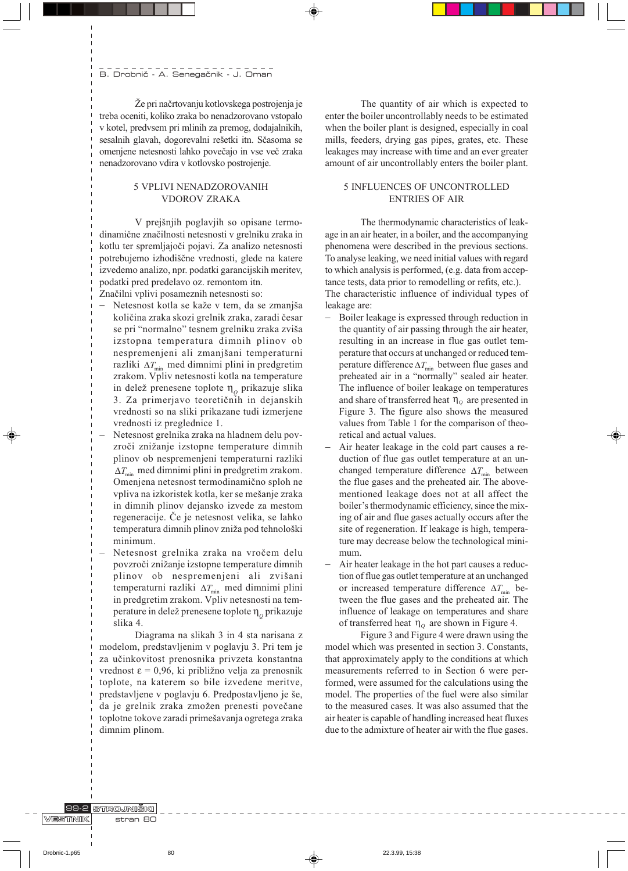Že pri načrtovanju kotlovskega postrojenja je treba oceniti, koliko zraka bo nenadzorovano vstopalo v kotel, predvsem pri mlinih za premog, dodajalnikih, sesalnih glavah, dogorevalni rešetki itn. Sčasoma se omenjene netesnosti lahko povečajo in vse več zraka nenadzorovano vdira v kotlovsko postrojenje.

# 5 VPLIVI NENADZOROVANIH **VDOROV ZRAKA**

V prejšnjih poglavjih so opisane termodinamične značilnosti netesnosti v grelniku zraka in kotlu ter spremljajoči pojavi. Za analizo netesnosti potrebujemo izhodiščne vrednosti, glede na katere izvedemo analizo, npr. podatki garancijskih meritev, podatki pred predelavo oz. remontom itn.

Značilni vplivi posameznih netesnosti so:

- Netesnost kotla se kaže v tem, da se zmanjša količina zraka skozi grelnik zraka, zaradi česar se pri "normalno" tesnem grelniku zraka zviša izstopna temperatura dimnih plinov ob nespremenjeni ali zmanjšani temperaturni razliki  $\Delta T_{\text{min}}$  med dimnimi plini in predgretim zrakom. Vpliv netesnosti kotla na temperature in delež prenesene toplote  $\eta_{\rho}$  prikazuje slika 3. Za primerjavo teoretičnih in dejanskih vrednosti so na sliki prikazane tudi izmerjene vrednosti iz preglednice 1.
- Netesnost grelnika zraka na hladnem delu povzroči znižanje izstopne temperature dimnih plinov ob nespremenjeni temperaturni razliki  $\Delta T_{\min}$  med dimnimi plini in predgretim zrakom. Omenjena netesnost termodinamično sploh ne vpliva na izkoristek kotla, ker se mešanje zraka in dimnih plinov dejansko izvede za mestom regeneracije. Če je netesnost velika, se lahko temperatura dimnih plinov zniža pod tehnološki minimum.
- Netesnost grelnika zraka na vročem delu povzroči znižanje izstopne temperature dimnih plinov ob nespremenjeni ali zvišani temperaturni razliki  $\Delta T_{\text{min}}$  med dimnimi plini in predgretim zrakom. Vpliv netesnosti na temperature in delež prenesene toplote  $\eta_{o}$  prikazuje slika 4.

Diagrama na slikah 3 in 4 sta narisana z modelom, predstavljenim v poglavju 3. Pri tem je za učinkovitost prenosnika privzeta konstantna vrednost  $\epsilon$  = 0,96, ki približno velja za prenosnik toplote, na katerem so bile izvedene meritve, predstavljene v poglavju 6. Predpostavljeno je še, da je grelnik zraka zmožen prenesti povečane toplotne tokove zaradi primešavanja ogretega zraka dimnim plinom.

The quantity of air which is expected to enter the boiler uncontrollably needs to be estimated when the boiler plant is designed, especially in coal mills, feeders, drying gas pipes, grates, etc. These leakages may increase with time and an ever greater amount of air uncontrollably enters the boiler plant.

# 5 INFLUENCES OF UNCONTROLLED **ENTRIES OF AIR**

The thermodynamic characteristics of leakage in an air heater, in a boiler, and the accompanying phenomena were described in the previous sections. To analyse leaking, we need initial values with regard to which analysis is performed, (e.g. data from acceptance tests, data prior to remodelling or refits, etc.). The characteristic influence of individual types of leakage are:

- Boiler leakage is expressed through reduction in the quantity of air passing through the air heater, resulting in an increase in flue gas outlet temperature that occurs at unchanged or reduced temperature difference  $\Delta T_{\text{min}}$  between flue gases and preheated air in a "normally" sealed air heater. The influence of boiler leakage on temperatures and share of transferred heat  $\eta_0$  are presented in Figure 3. The figure also shows the measured values from Table 1 for the comparison of theoretical and actual values.
- Air heater leakage in the cold part causes a reduction of flue gas outlet temperature at an unchanged temperature difference  $\Delta T_{\text{min}}$  between the flue gases and the preheated air. The abovementioned leakage does not at all affect the boiler's thermodynamic efficiency, since the mixing of air and flue gases actually occurs after the site of regeneration. If leakage is high, temperature may decrease below the technological minimum.
- Air heater leakage in the hot part causes a reduction of flue gas outlet temperature at an unchanged or increased temperature difference  $\Delta T_{\text{min}}$  between the flue gases and the preheated air. The influence of leakage on temperatures and share of transferred heat  $\eta_o$  are shown in Figure 4.

Figure 3 and Figure 4 were drawn using the model which was presented in section 3. Constants, that approximately apply to the conditions at which measurements referred to in Section 6 were performed, were assumed for the calculations using the model. The properties of the fuel were also similar to the measured cases. It was also assumed that the air heater is capable of handling increased heat fluxes due to the admixture of heater air with the flue gases.

89-2 STROJNIŠKI VESTNIK  $stran$  80

Drobnic-1.p65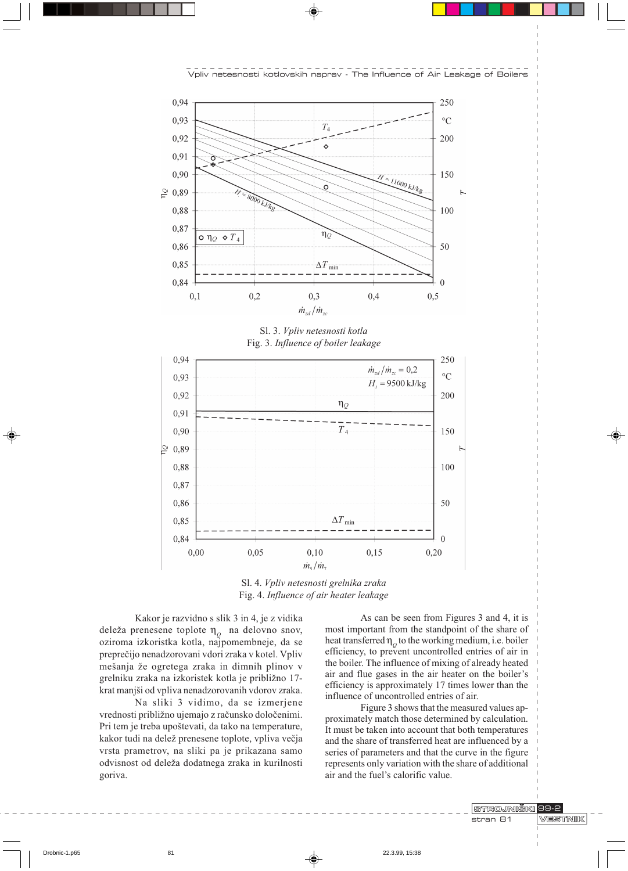



Sl. 3. Vpliv netesnosti kotla Fig. 3. Influence of boiler leakage



Sl. 4. Vpliv netesnosti grelnika zraka Fig. 4. Influence of air heater leakage

Kakor je razvidno s slik 3 in 4, je z vidika deleža prenesene toplote  $n_{o}$  na delovno snov, oziroma izkoristka kotla, najpomembneje, da se preprečijo nenadzorovani vdori zraka v kotel. Vpliv mešanja že ogretega zraka in dimnih plinov v grelniku zraka na izkoristek kotla je približno 17krat manjši od vpliva nenadzorovanih vdorov zraka.

Na sliki 3 vidimo, da se izmerjene vrednosti približno ujemajo z računsko določenimi. Pri tem je treba upoštevati, da tako na temperature, kakor tudi na delež prenesene toplote, vpliva večja vrsta prametrov, na sliki pa je prikazana samo odvisnost od deleža dodatnega zraka in kurilnosti goriva.

As can be seen from Figures 3 and 4, it is most important from the standpoint of the share of heat transferred  $\eta_0$  to the working medium, i.e. boiler efficiency, to prevent uncontrolled entries of air in the boiler. The influence of mixing of already heated air and flue gases in the air heater on the boiler's efficiency is approximately 17 times lower than the influence of uncontrolled entries of air.

Figure 3 shows that the measured values approximately match those determined by calculation. It must be taken into account that both temperatures and the share of transferred heat are influenced by a series of parameters and that the curve in the figure represents only variation with the share of additional air and the fuel's calorific value.

> STROJNIŠKI 99-2 stran 81

**VESTNIK** 

Drobnic-1.p65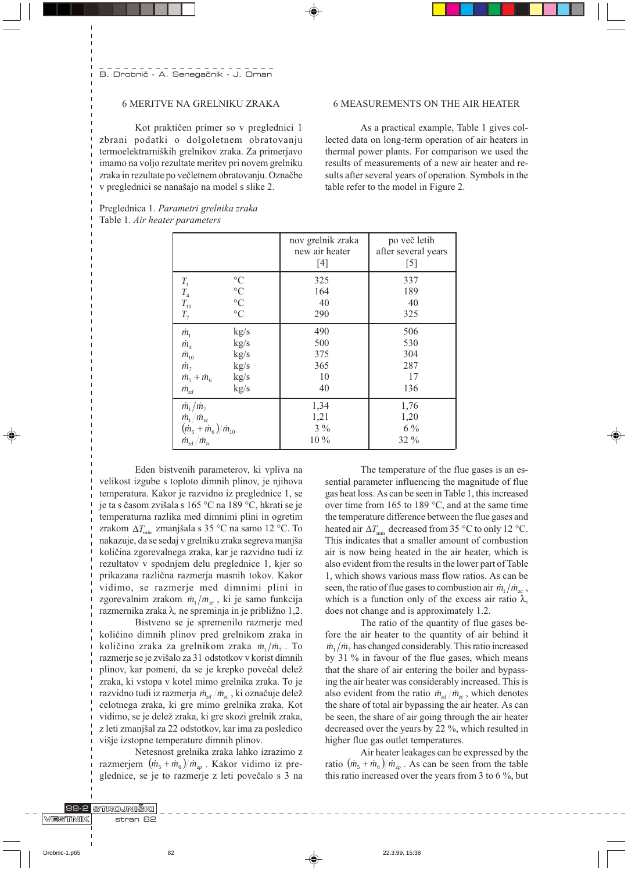# **6 MERITVE NA GRELNIKU ZRAKA**

Kot praktičen primer so v preglednici 1 zbrani podatki o dolgoletnem obratovanju termoelektrarniških grelnikov zraka. Za primerjavo imamo na voljo rezultate meritev pri novem grelniku zraka in rezultate po večletnem obratovanju. Označbe v preglednici se nanašajo na model s slike 2.

Preglednica 1. Parametri grelnika zraka

Table 1. Air heater parameters

# **6 MEASUREMENTS ON THE AIR HEATER**

As a practical example, Table 1 gives collected data on long-term operation of air heaters in thermal power plants. For comparison we used the results of measurements of a new air heater and results after several years of operation. Symbols in the table refer to the model in Figure 2.

|                                                                                                                                   |                 | nov grelnik zraka<br>new air heater<br>$[4]$ | po več letih<br>after several years<br>$[5]$ |
|-----------------------------------------------------------------------------------------------------------------------------------|-----------------|----------------------------------------------|----------------------------------------------|
| $\frac{T_{1}}{T_{4}}\frac{T_{4}}{T_{10}}$                                                                                         | $\rm ^{\circ}C$ | 325                                          | 337                                          |
|                                                                                                                                   | $\rm ^{\circ}C$ | 164                                          | 189                                          |
|                                                                                                                                   | $\rm ^{\circ}C$ | 40                                           | 40                                           |
|                                                                                                                                   | $\rm ^{\circ}C$ | 290                                          | 325                                          |
| $\dot{m}_1$                                                                                                                       | kg/s            | 490                                          | 506                                          |
| $\dot{m}_4$                                                                                                                       | kg/s            | 500                                          | 530                                          |
| $\dot{m}_{10}$                                                                                                                    | kg/s            | 375                                          | 304                                          |
| $\dot{m}_7$                                                                                                                       | kg/s            | 365                                          | 287                                          |
| $\dot{m}_{5} + \dot{m}_{6}$                                                                                                       | kg/s            | 10                                           | 17                                           |
| $\dot{m}_{zd}$                                                                                                                    | kg/s            | 40                                           | 136                                          |
| $\dot{m}_1/\dot{m}_7$<br>$\frac{\dot{m}_{1}/\dot{m}_{zc}}{(\dot{m}_{5}+\dot{m}_{6})/\dot{m}_{10}}$<br>$\dot{m}_{zd}/\dot{m}_{zc}$ |                 | 1,34<br>1,21<br>$3\%$<br>$10\%$              | 1,76<br>1,20<br>$6\%$<br>$32\%$              |

Eden bistvenih parameterov, ki vpliva na velikost izgube s toploto dimnih plinov, je njihova temperatura. Kakor je razvidno iz preglednice 1, se je ta s časom zvišala s 165 °C na 189 °C, hkrati se je temperaturna razlika med dimnimi plini in ogretim zrakom  $\Delta T_{\text{min}}$  zmanjšala s 35 °C na samo 12 °C. To nakazuje, da se sedaj v grelniku zraka segreva manjša količina zgorevalnega zraka, kar je razvidno tudi iz rezultatov v spodnjem delu preglednice 1, kjer so prikazana različna razmerja masnih tokov. Kakor vidimo, se razmerje med dimnimi plini in zgorevalnim zrakom  $\dot{m}_1/\dot{m}_{zc}$ , ki je samo funkcija razmernika zraka  $\lambda$ , ne spreminja in je približno 1,2.

Bistveno se je spremenilo razmerje med količino dimnih plinov pred grelnikom zraka in količino zraka za grelnikom zraka  $\dot{m}_1/\dot{m}_7$ . To razmerje se je zvišalo za 31 odstotkov v korist dimnih plinov, kar pomeni, da se je krepko povečal delež zraka, ki vstopa v kotel mimo grelnika zraka. To je razvidno tudi iz razmerja  $\dot{m}_{rd}/\dot{m}_{sc}$ , ki označuje delež celotnega zraka, ki gre mimo grelnika zraka. Kot vidimo, se je delež zraka, ki gre skozi grelnik zraka, z leti zmanjšal za 22 odstotkov, kar ima za posledico višje izstopne temperature dimnih plinov.

Netesnost grelnika zraka lahko izrazimo z razmerjem  $(m_5 + m_6)/m_{\nu}$ . Kakor vidimo iz preglednice, se je to razmerje z leti povečalo s 3 na

The temperature of the flue gases is an essential parameter influencing the magnitude of flue gas heat loss. As can be seen in Table 1, this increased over time from 165 to 189 °C, and at the same time the temperature difference between the flue gases and heated air  $\Delta T_{\text{min}}$  decreased from 35 °C to only 12 °C. This indicates that a smaller amount of combustion air is now being heated in the air heater, which is also evident from the results in the lower part of Table 1, which shows various mass flow ratios. As can be seen, the ratio of flue gases to combustion air  $\dot{m}_1/\dot{m}_{ac}$ , which is a function only of the excess air ratio  $\lambda$ , does not change and is approximately 1.2.

The ratio of the quantity of flue gases before the air heater to the quantity of air behind it  $\dot{m}_1/\dot{m}_2$  has changed considerably. This ratio increased by 31 % in favour of the flue gases, which means that the share of air entering the boiler and bypassing the air heater was considerably increased. This is also evident from the ratio  $\dot{m}_{rd}/\dot{m}_{rc}$ , which denotes the share of total air bypassing the air heater. As can be seen, the share of air going through the air heater decreased over the years by 22 %, which resulted in higher flue gas outlet temperatures.

Air heater leakages can be expressed by the ratio  $(\dot{m}_5 + \dot{m}_6)/\dot{m}_{2p}$ . As can be seen from the table this ratio increased over the years from 3 to 6 %, but

|               | 19-2 STROJNISKII |
|---------------|------------------|
| ' WIESTRAIK I | stran 82         |
|               |                  |

 $82$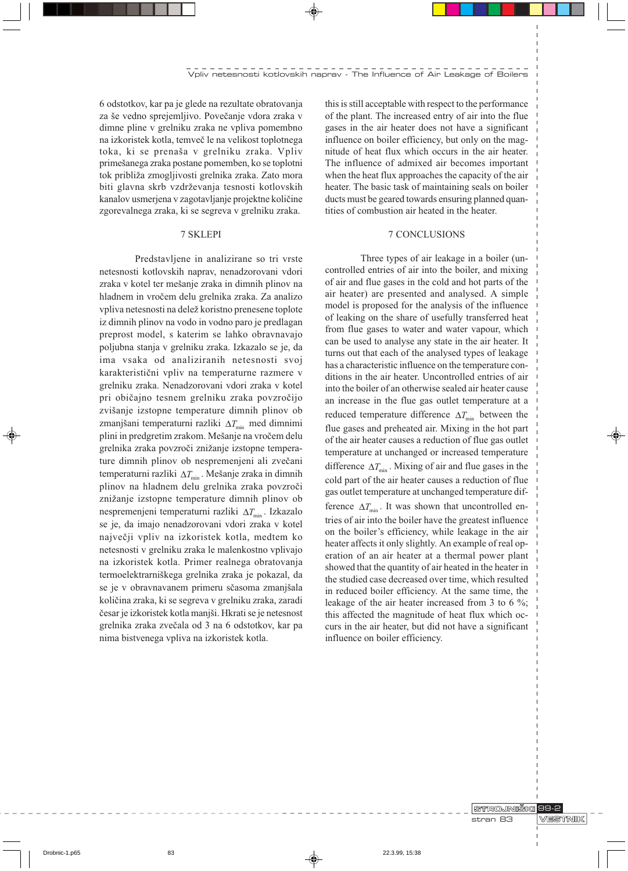6 odstotkov, kar pa je glede na rezultate obratovanja za še vedno sprejemljivo. Povečanje vdora zraka v dimne pline v grelniku zraka ne vpliva pomembno na izkoristek kotla, temveč le na velikost toplotnega toka, ki se prenaša v grelniku zraka. Vpliv primešanega zraka postane pomemben, ko se toplotni tok približa zmogljivosti grelnika zraka. Zato mora biti glavna skrb vzdrževanja tesnosti kotlovskih kanalov usmerjena v zagotavljanje projektne količine zgorevalnega zraka, ki se segreva v grelniku zraka.

#### 7 SKLEPI

Predstavljene in analizirane so tri vrste netesnosti kotlovskih naprav, nenadzorovani vdori zraka v kotel ter mešanje zraka in dimnih plinov na hladnem in vročem delu grelnika zraka. Za analizo vpliva netesnosti na delež koristno prenesene toplote iz dimnih plinov na vodo in vodno paro je predlagan preprost model, s katerim se lahko obravnavajo poljubna stanja v grelniku zraka. Izkazalo se je, da ima vsaka od analiziranih netesnosti svoj karakteristični vpliv na temperaturne razmere v grelniku zraka. Nenadzorovani vdori zraka v kotel pri običajno tesnem grelniku zraka povzročijo zvišanje izstopne temperature dimnih plinov ob zmanjšani temperaturni razliki $\Delta T_{\text{min}}$ med dimnimi plini in predgretim zrakom. Mešanje na vročem delu grelnika zraka povzroči znižanje izstopne temperature dimnih plinov ob nespremenjeni ali zvečani temperaturni razliki  $\Delta T_{\text{min}}$ . Mešanje zraka in dimnih plinov na hladnem delu grelnika zraka povzroči znižanje izstopne temperature dimnih plinov ob nespremenjeni temperaturni razliki $\Delta T_{\text{min}}$ . Izkazalo se je, da imajo nenadzorovani vdori zraka v kotel največji vpliv na izkoristek kotla, medtem ko netesnosti v grelniku zraka le malenkostno vplivajo na izkoristek kotla. Primer realnega obratovanja termoelektrarniškega grelnika zraka je pokazal, da se je v obravnavanem primeru sčasoma zmanjšala količina zraka, ki se segreva v grelniku zraka, zaradi česar je izkoristek kotla manjši. Hkrati se je netesnost grelnika zraka zvečala od 3 na 6 odstotkov, kar pa nima bistvenega vpliva na izkoristek kotla.

this is still acceptable with respect to the performance of the plant. The increased entry of air into the flue gases in the air heater does not have a significant influence on boiler efficiency, but only on the magnitude of heat flux which occurs in the air heater. The influence of admixed air becomes important when the heat flux approaches the capacity of the air heater. The basic task of maintaining seals on boiler ducts must be geared towards ensuring planned quantities of combustion air heated in the heater.

#### 7 CONCLUSIONS

Three types of air leakage in a boiler (uncontrolled entries of air into the boiler, and mixing of air and flue gases in the cold and hot parts of the air heater) are presented and analysed. A simple model is proposed for the analysis of the influence of leaking on the share of usefully transferred heat from flue gases to water and water vapour, which can be used to analyse any state in the air heater. It turns out that each of the analysed types of leakage has a characteristic influence on the temperature conditions in the air heater. Uncontrolled entries of air into the boiler of an otherwise sealed air heater cause an increase in the flue gas outlet temperature at a reduced temperature difference  $\Delta T_{\text{min}}$  between the flue gases and preheated air. Mixing in the hot part of the air heater causes a reduction of flue gas outlet temperature at unchanged or increased temperature difference  $\Delta T_{\text{min}}$ . Mixing of air and flue gases in the cold part of the air heater causes a reduction of flue gas outlet temperature at unchanged temperature difference  $\Delta T_{\text{min}}$ . It was shown that uncontrolled entries of air into the boiler have the greatest influence on the boiler's efficiency, while leakage in the air heater affects it only slightly. An example of real operation of an air heater at a thermal power plant showed that the quantity of air heated in the heater in the studied case decreased over time, which resulted in reduced boiler efficiency. At the same time, the leakage of the air heater increased from 3 to 6  $\%$ ; this affected the magnitude of heat flux which occurs in the air heater, but did not have a significant influence on boiler efficiency.

> STROJNIŠKI 99-2 stran 83